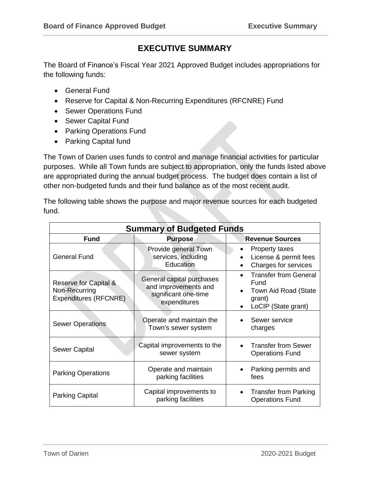# **EXECUTIVE SUMMARY**

The Board of Finance's Fiscal Year 2021 Approved Budget includes appropriations for the following funds:

- General Fund
- Reserve for Capital & Non-Recurring Expenditures (RFCNRE) Fund
- Sewer Operations Fund
- Sewer Capital Fund
- Parking Operations Fund
- Parking Capital fund

The Town of Darien uses funds to control and manage financial activities for particular purposes. While all Town funds are subject to appropriation, only the funds listed above are appropriated during the annual budget process. The budget does contain a list of other non-budgeted funds and their fund balance as of the most recent audit.

The following table shows the purpose and major revenue sources for each budgeted fund.

| <b>Summary of Budgeted Funds</b>                                |                                                                                           |                                                                                                            |  |  |  |  |
|-----------------------------------------------------------------|-------------------------------------------------------------------------------------------|------------------------------------------------------------------------------------------------------------|--|--|--|--|
| <b>Fund</b>                                                     | <b>Purpose</b>                                                                            | <b>Revenue Sources</b>                                                                                     |  |  |  |  |
| <b>General Fund</b>                                             | Provide general Town<br>services, including<br>Education                                  | <b>Property taxes</b><br>License & permit fees<br>Charges for services                                     |  |  |  |  |
| Reserve for Capital &<br>Non-Recurring<br>Expenditures (RFCNRE) | General capital purchases<br>and improvements and<br>significant one-time<br>expenditures | <b>Transfer from General</b><br>Fund<br>Town Aid Road (State<br>grant)<br>LoCIP (State grant)<br>$\bullet$ |  |  |  |  |
| <b>Sewer Operations</b>                                         | Operate and maintain the<br>Town's sewer system                                           | Sewer service<br>charges                                                                                   |  |  |  |  |
| Sewer Capital                                                   | Capital improvements to the<br>sewer system                                               | <b>Transfer from Sewer</b><br><b>Operations Fund</b>                                                       |  |  |  |  |
| <b>Parking Operations</b>                                       | Operate and maintain<br>parking facilities                                                | Parking permits and<br>fees                                                                                |  |  |  |  |
| Parking Capital                                                 | Capital improvements to<br>parking facilities                                             | <b>Transfer from Parking</b><br><b>Operations Fund</b>                                                     |  |  |  |  |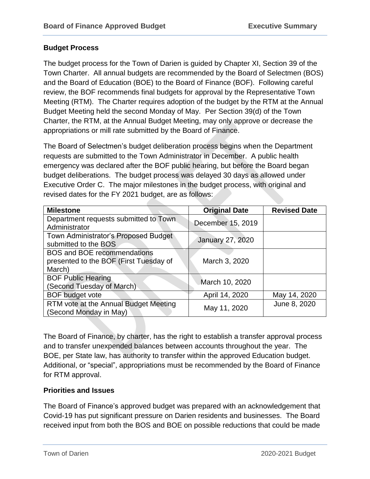#### **Budget Process**

The budget process for the Town of Darien is guided by Chapter XI, Section 39 of the Town Charter. All annual budgets are recommended by the Board of Selectmen (BOS) and the Board of Education (BOE) to the Board of Finance (BOF). Following careful review, the BOF recommends final budgets for approval by the Representative Town Meeting (RTM). The Charter requires adoption of the budget by the RTM at the Annual Budget Meeting held the second Monday of May. Per Section 39(d) of the Town Charter, the RTM, at the Annual Budget Meeting, may only approve or decrease the appropriations or mill rate submitted by the Board of Finance.

The Board of Selectmen's budget deliberation process begins when the Department requests are submitted to the Town Administrator in December. A public health emergency was declared after the BOF public hearing, but before the Board began budget deliberations. The budget process was delayed 30 days as allowed under Executive Order C. The major milestones in the budget process, with original and revised dates for the FY 2021 budget, are as follows:

| <b>Milestone</b>                       | <b>Original Date</b>    | <b>Revised Date</b> |  |
|----------------------------------------|-------------------------|---------------------|--|
| Department requests submitted to Town  | December 15, 2019       |                     |  |
| Administrator                          |                         |                     |  |
| Town Administrator's Proposed Budget   | <b>January 27, 2020</b> |                     |  |
| submitted to the BOS                   |                         |                     |  |
| <b>BOS and BOE recommendations</b>     |                         |                     |  |
| presented to the BOF (First Tuesday of | March 3, 2020           |                     |  |
| March)                                 |                         |                     |  |
| <b>BOF Public Hearing</b>              |                         |                     |  |
| (Second Tuesday of March)              | March 10, 2020          |                     |  |
| <b>BOF</b> budget vote                 | April 14, 2020          | May 14, 2020        |  |
| RTM vote at the Annual Budget Meeting  |                         | June 8, 2020        |  |
| (Second Monday in May)                 | May 11, 2020            |                     |  |

The Board of Finance, by charter, has the right to establish a transfer approval process and to transfer unexpended balances between accounts throughout the year. The BOE, per State law, has authority to transfer within the approved Education budget. Additional, or "special", appropriations must be recommended by the Board of Finance for RTM approval.

# **Priorities and Issues**

The Board of Finance's approved budget was prepared with an acknowledgement that Covid-19 has put significant pressure on Darien residents and businesses. The Board received input from both the BOS and BOE on possible reductions that could be made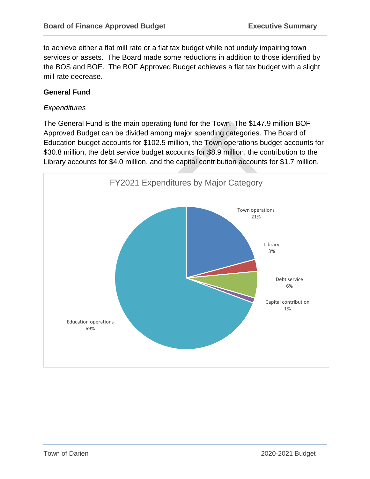to achieve either a flat mill rate or a flat tax budget while not unduly impairing town services or assets. The Board made some reductions in addition to those identified by the BOS and BOE. The BOF Approved Budget achieves a flat tax budget with a slight mill rate decrease.

#### **General Fund**

#### *Expenditures*

The General Fund is the main operating fund for the Town. The \$147.9 million BOF Approved Budget can be divided among major spending categories. The Board of Education budget accounts for \$102.5 million, the Town operations budget accounts for \$30.8 million, the debt service budget accounts for \$8.9 million, the contribution to the Library accounts for \$4.0 million, and the capital contribution accounts for \$1.7 million.

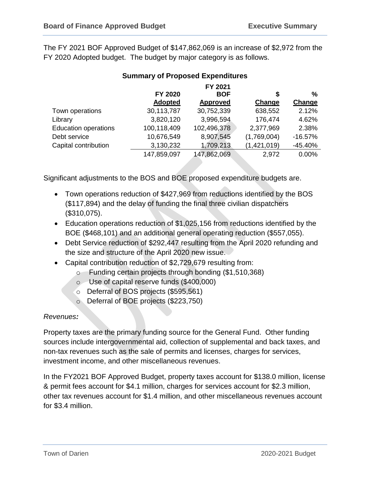The FY 2021 BOF Approved Budget of \$147,862,069 is an increase of \$2,972 from the FY 2020 Adopted budget. The budget by major category is as follows.

|                             | FY 2020<br><b>Adopted</b> | FY 2021<br><b>BOF</b><br><b>Approved</b> | \$<br>Change | %<br>Change |
|-----------------------------|---------------------------|------------------------------------------|--------------|-------------|
| Town operations             | 30,113,787                | 30,752,339                               | 638,552      | 2.12%       |
|                             |                           |                                          |              |             |
| Library                     | 3,820,120                 | 3,996,594                                | 176,474      | 4.62%       |
| <b>Education operations</b> | 100,118,409               | 102,496,378                              | 2,377,969    | 2.38%       |
| Debt service                | 10,676,549                | 8,907,545                                | (1,769,004)  | $-16.57%$   |
| Capital contribution        | 3,130,232                 | 1,709,213                                | (1,421,019)  | $-45.40%$   |
|                             | 147,859,097               | 147,862,069                              | 2,972        | 0.00%       |
|                             |                           |                                          |              |             |

# **Summary of Proposed Expenditures**

Significant adjustments to the BOS and BOE proposed expenditure budgets are.

- Town operations reduction of \$427,969 from reductions identified by the BOS (\$117,894) and the delay of funding the final three civilian dispatchers (\$310,075).
- Education operations reduction of \$1,025,156 from reductions identified by the BOE (\$468,101) and an additional general operating reduction (\$557,055).
- Debt Service reduction of \$292,447 resulting from the April 2020 refunding and the size and structure of the April 2020 new issue.
- Capital contribution reduction of \$2,729,679 resulting from:
	- o Funding certain projects through bonding (\$1,510,368)
	- o Use of capital reserve funds (\$400,000)
	- o Deferral of BOS projects (\$595,561)
	- o Deferral of BOE projects (\$223,750)

# *Revenues:*

Property taxes are the primary funding source for the General Fund. Other funding sources include intergovernmental aid, collection of supplemental and back taxes, and non-tax revenues such as the sale of permits and licenses, charges for services, investment income, and other miscellaneous revenues.

In the FY2021 BOF Approved Budget, property taxes account for \$138.0 million, license & permit fees account for \$4.1 million, charges for services account for \$2.3 million, other tax revenues account for \$1.4 million, and other miscellaneous revenues account for \$3.4 million.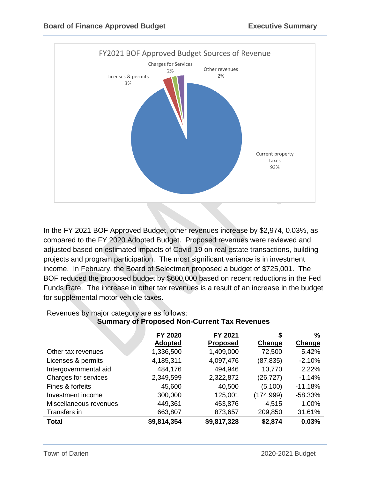

In the FY 2021 BOF Approved Budget, other revenues increase by \$2,974, 0.03%, as compared to the FY 2020 Adopted Budget. Proposed revenues were reviewed and adjusted based on estimated impacts of Covid-19 on real estate transactions, building projects and program participation. The most significant variance is in investment income. In February, the Board of Selectmen proposed a budget of \$725,001. The BOF reduced the proposed budget by \$600,000 based on recent reductions in the Fed Funds Rate. The increase in other tax revenues is a result of an increase in the budget for supplemental motor vehicle taxes.

|                        | FY 2020<br><b>Adopted</b> | FY 2021<br><b>Proposed</b> | S<br>Change | %<br>Change |
|------------------------|---------------------------|----------------------------|-------------|-------------|
| Other tax revenues     | 1,336,500                 | 1,409,000                  | 72,500      | 5.42%       |
| Licenses & permits     | 4,185,311                 | 4,097,476                  | (87, 835)   | $-2.10%$    |
| Intergovernmental aid  | 484,176                   | 494,946                    | 10,770      | 2.22%       |
| Charges for services   | 2,349,599                 | 2,322,872                  | (26, 727)   | $-1.14%$    |
| Fines & forfeits       | 45,600                    | 40,500                     | (5, 100)    | $-11.18%$   |
| Investment income      | 300,000                   | 125,001                    | (174, 999)  | $-58.33%$   |
| Miscellaneous revenues | 449,361                   | 453,876                    | 4,515       | 1.00%       |
| Transfers in           | 663,807                   | 873,657                    | 209,850     | 31.61%      |
| <b>Total</b>           | \$9,814,354               | \$9,817,328                | \$2,874     | 0.03%       |

# Revenues by major category are as follows: **Summary of Proposed Non-Current Tax Revenues**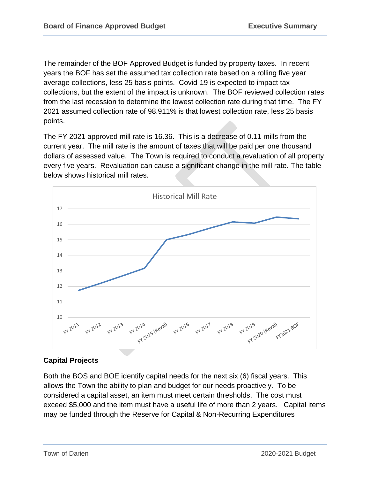The remainder of the BOF Approved Budget is funded by property taxes. In recent years the BOF has set the assumed tax collection rate based on a rolling five year average collections, less 25 basis points. Covid-19 is expected to impact tax collections, but the extent of the impact is unknown. The BOF reviewed collection rates from the last recession to determine the lowest collection rate during that time. The FY 2021 assumed collection rate of 98.911% is that lowest collection rate, less 25 basis points.

The FY 2021 approved mill rate is 16.36. This is a decrease of 0.11 mills from the current year. The mill rate is the amount of taxes that will be paid per one thousand dollars of assessed value. The Town is required to conduct a revaluation of all property every five years. Revaluation can cause a significant change in the mill rate. The table below shows historical mill rates.



# **Capital Projects**

Both the BOS and BOE identify capital needs for the next six (6) fiscal years. This allows the Town the ability to plan and budget for our needs proactively. To be considered a capital asset, an item must meet certain thresholds. The cost must exceed \$5,000 and the item must have a useful life of more than 2 years. Capital items may be funded through the Reserve for Capital & Non-Recurring Expenditures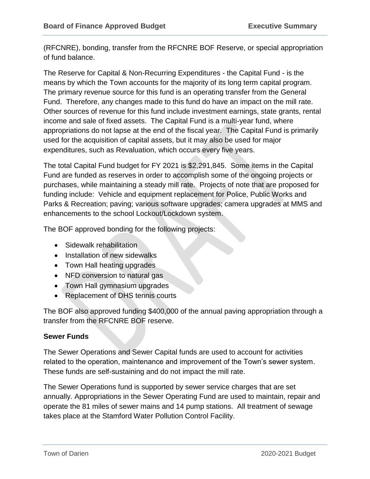(RFCNRE), bonding, transfer from the RFCNRE BOF Reserve, or special appropriation of fund balance.

The Reserve for Capital & Non-Recurring Expenditures - the Capital Fund - is the means by which the Town accounts for the majority of its long term capital program. The primary revenue source for this fund is an operating transfer from the General Fund. Therefore, any changes made to this fund do have an impact on the mill rate. Other sources of revenue for this fund include investment earnings, state grants, rental income and sale of fixed assets. The Capital Fund is a multi-year fund, where appropriations do not lapse at the end of the fiscal year. The Capital Fund is primarily used for the acquisition of capital assets, but it may also be used for major expenditures, such as Revaluation, which occurs every five years.

The total Capital Fund budget for FY 2021 is \$2,291,845. Some items in the Capital Fund are funded as reserves in order to accomplish some of the ongoing projects or purchases, while maintaining a steady mill rate. Projects of note that are proposed for funding include: Vehicle and equipment replacement for Police, Public Works and Parks & Recreation; paving; various software upgrades; camera upgrades at MMS and enhancements to the school Lockout/Lockdown system.

The BOF approved bonding for the following projects:

- Sidewalk rehabilitation
- Installation of new sidewalks
- Town Hall heating upgrades
- NFD conversion to natural gas
- Town Hall gymnasium upgrades
- Replacement of DHS tennis courts

The BOF also approved funding \$400,000 of the annual paving appropriation through a transfer from the RFCNRE BOF reserve.

# **Sewer Funds**

The Sewer Operations and Sewer Capital funds are used to account for activities related to the operation, maintenance and improvement of the Town's sewer system. These funds are self-sustaining and do not impact the mill rate.

The Sewer Operations fund is supported by sewer service charges that are set annually. Appropriations in the Sewer Operating Fund are used to maintain, repair and operate the 81 miles of sewer mains and 14 pump stations. All treatment of sewage takes place at the Stamford Water Pollution Control Facility.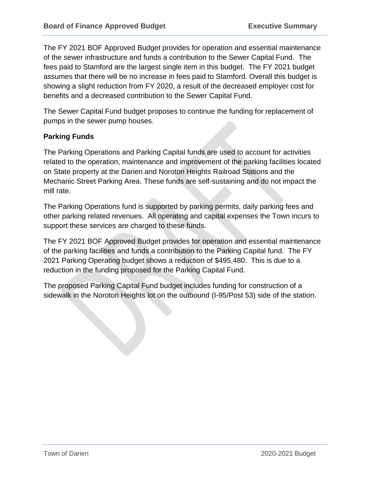The FY 2021 BOF Approved Budget provides for operation and essential maintenance of the sewer infrastructure and funds a contribution to the Sewer Capital Fund. The fees paid to Stamford are the largest single item in this budget. The FY 2021 budget assumes that there will be no increase in fees paid to Stamford. Overall this budget is showing a slight reduction from FY 2020, a result of the decreased employer cost for benefits and a decreased contribution to the Sewer Capital Fund.

The Sewer Capital Fund budget proposes to continue the funding for replacement of pumps in the sewer pump houses.

#### **Parking Funds**

The Parking Operations and Parking Capital funds are used to account for activities related to the operation, maintenance and improvement of the parking facilities located on State property at the Darien and Noroton Heights Railroad Stations and the Mechanic Street Parking Area. These funds are self-sustaining and do not impact the mill rate.

The Parking Operations fund is supported by parking permits, daily parking fees and other parking related revenues. All operating and capital expenses the Town incurs to support these services are charged to these funds.

The FY 2021 BOF Approved Budget provides for operation and essential maintenance of the parking facilities and funds a contribution to the Parking Capital fund. The FY 2021 Parking Operating budget shows a reduction of \$495,480. This is due to a reduction in the funding proposed for the Parking Capital Fund.

The proposed Parking Capital Fund budget includes funding for construction of a sidewalk in the Noroton Heights lot on the outbound (I-95/Post 53) side of the station.